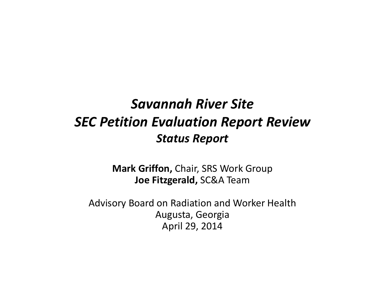# *Savannah River Site SEC Petition Evaluation Report Review Status Report*

**Mark Griffon,** Chair, SRS Work Group **Joe Fitzgerald,** SC&A Team

Advisory Board on Radiation and Worker Health Augusta, Georgia April 29, 2014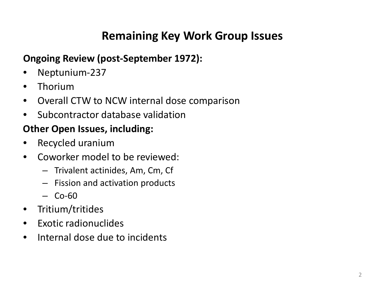### **Remaining Key Work Group Issues**

#### **Ongoing Review (post-September 1972):**

- Neptunium-237
- Thorium
- Overall CTW to NCW internal dose comparison
- Subcontractor database validation

#### **Other Open Issues, including:**

- Recycled uranium
- Coworker model to be reviewed:
	- Trivalent actinides, Am, Cm, Cf
	- Fission and activation products
	- $-$  Co-60
- Tritium/tritides
- Exotic radionuclides
- Internal dose due to incidents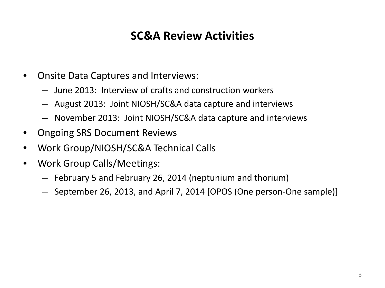### **SC&A Review Activities**

- Onsite Data Captures and Interviews:
	- June 2013: Interview of crafts and construction workers
	- August 2013: Joint NIOSH/SC&A data capture and interviews
	- November 2013: Joint NIOSH/SC&A data capture and interviews
- Ongoing SRS Document Reviews
- Work Group/NIOSH/SC&A Technical Calls
- Work Group Calls/Meetings:
	- February 5 and February 26, 2014 (neptunium and thorium)
	- September 26, 2013, and April 7, 2014 [OPOS (One person-One sample)]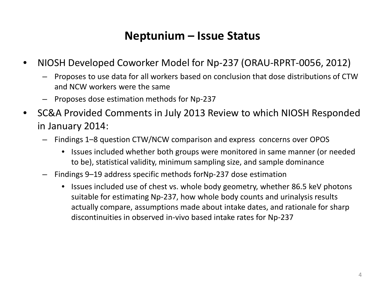### **Neptunium – Issue Status**

- NIOSH Developed Coworker Model for Np-237 (ORAU-RPRT-0056, 2012)
	- Proposes to use data for all workers based on conclusion that dose distributions of CTW and NCW workers were the same
	- Proposes dose estimation methods for Np-237
- SC&A Provided Comments in July 2013 Review to which NIOSH Responded in January 2014:
	- Findings 1–8 question CTW/NCW comparison and express concerns over OPOS
		- Issues included whether both groups were monitored in same manner (or needed to be), statistical validity, minimum sampling size, and sample dominance
	- Findings 9–19 address specific methods forNp-237 dose estimation
		- Issues included use of chest vs. whole body geometry, whether 86.5 keV photons suitable for estimating Np-237, how whole body counts and urinalysis results actually compare, assumptions made about intake dates, and rationale for sharp discontinuities in observed in-vivo based intake rates for Np-237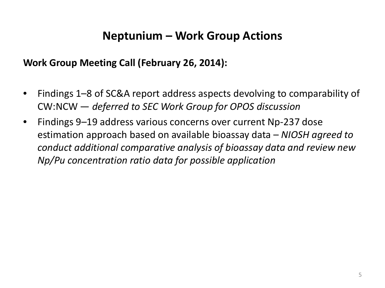### **Neptunium – Work Group Actions**

#### **Work Group Meeting Call (February 26, 2014):**

- Findings 1–8 of SC&A report address aspects devolving to comparability of CW:NCW — *deferred to SEC Work Group for OPOS discussion*
- Findings 9–19 address various concerns over current Np-237 dose estimation approach based on available bioassay data – *NIOSH agreed to conduct additional comparative analysis of bioassay data and review new Np/Pu concentration ratio data for possible application*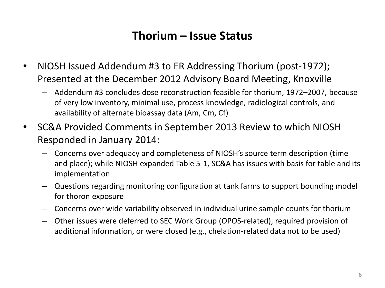### **Thorium – Issue Status**

- NIOSH Issued Addendum #3 to ER Addressing Thorium (post-1972); Presented at the December 2012 Advisory Board Meeting, Knoxville
	- Addendum #3 concludes dose reconstruction feasible for thorium, 1972–2007, because of very low inventory, minimal use, process knowledge, radiological controls, and availability of alternate bioassay data (Am, Cm, Cf)
- SC&A Provided Comments in September 2013 Review to which NIOSH Responded in January 2014:
	- Concerns over adequacy and completeness of NIOSH's source term description (time and place); while NIOSH expanded Table 5-1, SC&A has issues with basis for table and its implementation
	- Questions regarding monitoring configuration at tank farms to support bounding model for thoron exposure
	- Concerns over wide variability observed in individual urine sample counts for thorium
	- Other issues were deferred to SEC Work Group (OPOS-related), required provision of additional information, or were closed (e.g., chelation-related data not to be used)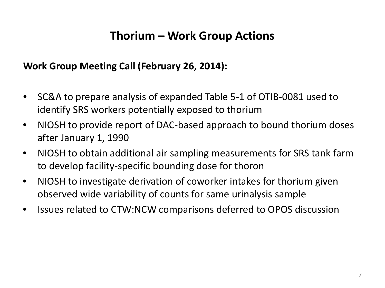### **Thorium – Work Group Actions**

#### **Work Group Meeting Call (February 26, 2014):**

- SC&A to prepare analysis of expanded Table 5-1 of OTIB-0081 used to identify SRS workers potentially exposed to thorium
- NIOSH to provide report of DAC-based approach to bound thorium doses after January 1, 1990
- NIOSH to obtain additional air sampling measurements for SRS tank farm to develop facility-specific bounding dose for thoron
- NIOSH to investigate derivation of coworker intakes for thorium given observed wide variability of counts for same urinalysis sample
- Issues related to CTW:NCW comparisons deferred to OPOS discussion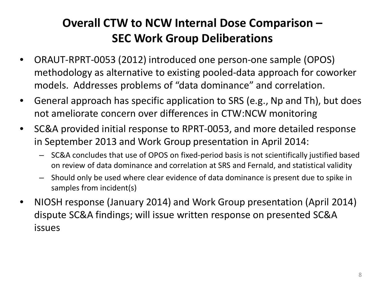## **Overall CTW to NCW Internal Dose Comparison – SEC Work Group Deliberations**

- ORAUT-RPRT-0053 (2012) introduced one person-one sample (OPOS) methodology as alternative to existing pooled-data approach for coworker models. Addresses problems of "data dominance" and correlation.
- General approach has specific application to SRS (e.g., Np and Th), but does not ameliorate concern over differences in CTW:NCW monitoring
- SC&A provided initial response to RPRT-0053, and more detailed response in September 2013 and Work Group presentation in April 2014:
	- SC&A concludes that use of OPOS on fixed-period basis is not scientifically justified based on review of data dominance and correlation at SRS and Fernald, and statistical validity
	- Should only be used where clear evidence of data dominance is present due to spike in samples from incident(s)
- NIOSH response (January 2014) and Work Group presentation (April 2014) dispute SC&A findings; will issue written response on presented SC&A issues